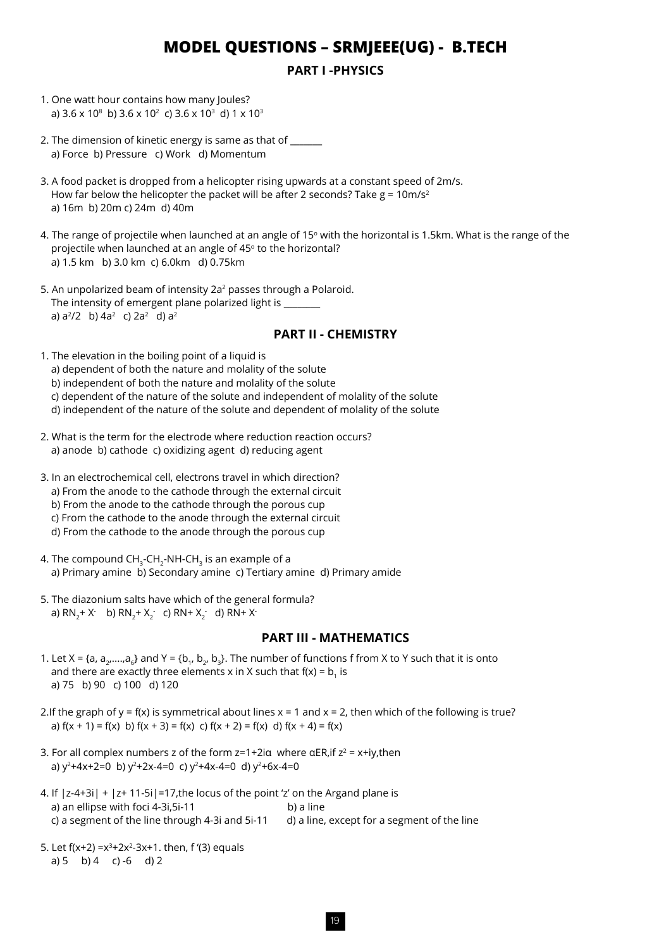# **MODEL QUESTIONS – SRMJEEE(UG) - B.TECH**

## **PART I -PHYSICS**

- 1. One watt hour contains how many Joules? a)  $3.6 \times 10^8$  b)  $3.6 \times 10^2$  c)  $3.6 \times 10^3$  d)  $1 \times 10^3$
- 2. The dimension of kinetic energy is same as that of \_\_\_\_\_\_ a) Force b) Pressure c) Work d) Momentum
- 3. A food packet is dropped from a helicopter rising upwards at a constant speed of 2m/s. How far below the helicopter the packet will be after 2 seconds? Take  $g = 10$ m/s<sup>2</sup> a) 16m b) 20m c) 24m d) 40m
- 4. The range of projectile when launched at an angle of 15° with the horizontal is 1.5km. What is the range of the projectile when launched at an angle of 45° to the horizontal? a) 1.5 km b) 3.0 km c) 6.0km d) 0.75km
- 5. An unpolarized beam of intensity 2a<sup>2</sup> passes through a Polaroid. The intensity of emergent plane polarized light is a)  $a^2/2$  b)  $4a^2$  c)  $2a^2$  d)  $a^2$

#### **PART II - CHEMISTRY**

- 1. The elevation in the boiling point of a liquid is a) dependent of both the nature and molality of the solute b) independent of both the nature and molality of the solute c) dependent of the nature of the solute and independent of molality of the solute d) independent of the nature of the solute and dependent of molality of the solute
- 2. What is the term for the electrode where reduction reaction occurs? a) anode b) cathode c) oxidizing agent d) reducing agent
- 3. In an electrochemical cell, electrons travel in which direction? a) From the anode to the cathode through the external circuit b) From the anode to the cathode through the porous cup c) From the cathode to the anode through the external circuit d) From the cathode to the anode through the porous cup
- 4. The compound  $CH<sub>3</sub>-CH<sub>2</sub>-NH-CH<sub>3</sub>$  is an example of a a) Primary amine b) Secondary amine c) Tertiary amine d) Primary amide
- 5. The diazonium salts have which of the general formula? a) RN<sub>2</sub>+ X<sup>-</sup> b) RN<sub>2</sub>+ X<sub>2</sub><sup>-</sup> c) RN+ X<sub>2</sub><sup>-</sup> d) RN+ X<sup>-</sup>

## **PART III - MATHEMATICS**

- 1. Let X = {a,  $a_2,...,a_n$ } and Y = {b<sub>1</sub>, b<sub>2</sub>, b<sub>3</sub>}. The number of functions f from X to Y such that it is onto and there are exactly three elements x in X such that  $f(x) = b_1$  is a) 75 b) 90 c) 100 d) 120
- 2.If the graph of  $y = f(x)$  is symmetrical about lines  $x = 1$  and  $x = 2$ , then which of the following is true? a)  $f(x + 1) = f(x)$  b)  $f(x + 3) = f(x)$  c)  $f(x + 2) = f(x)$  d)  $f(x + 4) = f(x)$
- 3. For all complex numbers z of the form  $z=1+2i\alpha$  where  $\alpha ER$ , if  $z^2 = x+iy$ , then a)  $y^2+4x+2=0$  b)  $y^2+2x-4=0$  c)  $y^2+4x-4=0$  d)  $y^2+6x-4=0$
- 4. If |z-4+3i| + |z+ 11-5i|=17,the locus of the point 'z' on the Argand plane is a) an ellipse with foci 4-3i.5i-11 b) a line c) a segment of the line through 4-3i and 5i-11 d) a line, except for a segment of the line
- 5. Let  $f(x+2) = x^3 + 2x^2 3x + 1$ , then,  $f'(3)$  equals a)  $5 \text{ b}$ )  $4 \text{ c}$ )  $-6 \text{ d}$ )  $2 \text{ d}$